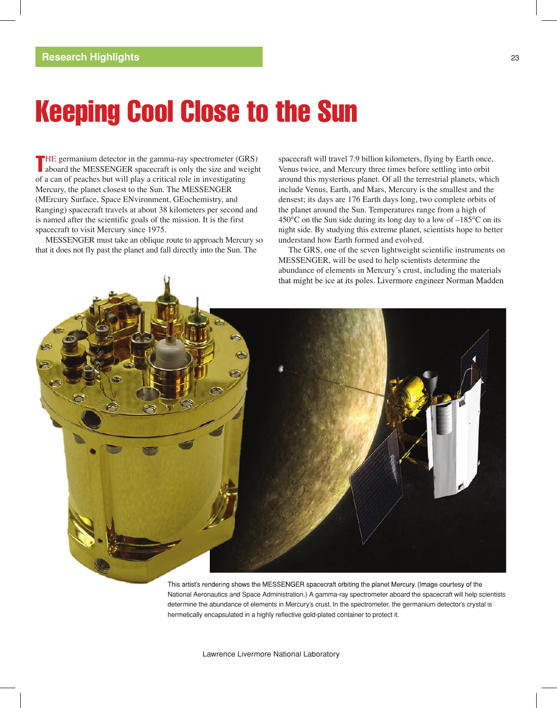# Keeping Cool Close to the Sun

THE germanium detector in the gamma-ray spectrometer (GRS) aboard the MESSENGER spacecraft is only the size and weight aboard the MESSENGER spacecraft is only the size and weight of a can of peaches but will play a critical role in investigating Mercury, the planet closest to the Sun. The MESSENGER (MErcury Surface, Space ENvironment, GEochemistry, and Ranging) spacecraft travels at about 38 kilometers per second and is named after the scientific goals of the mission. It is the first spacecraft to visit Mercury since 1975.

MESSENGER must take an oblique route to approach Mercury so that it does not fly past the planet and fall directly into the Sun. The

spacecraft will travel 7.9 billion kilometers, flying by Earth once, Venus twice, and Mercury three times before settling into orbit around this mysterious planet. Of all the terrestrial planets, which include Venus, Earth, and Mars, Mercury is the smallest and the densest; its days are 176 Earth days long, two complete orbits of the planet around the Sun. Temperatures range from a high of 450 $^{\circ}$ C on the Sun side during its long day to a low of  $-185^{\circ}$ C on its night side. By studying this extreme planet, scientists hope to better understand how Earth formed and evolved.

The GRS, one of the seven lightweight scientific instruments on MESSENGER, will be used to help scientists determine the abundance of elements in Mercury's crust, including the materials that might be ice at its poles. Livermore engineer Norman Madden



determine the abundance of elements in Mercury's crust. In the spectrometer, the germanium detector's crystal is hermetically encapsulated in a highly reflective gold-plated container to protect it.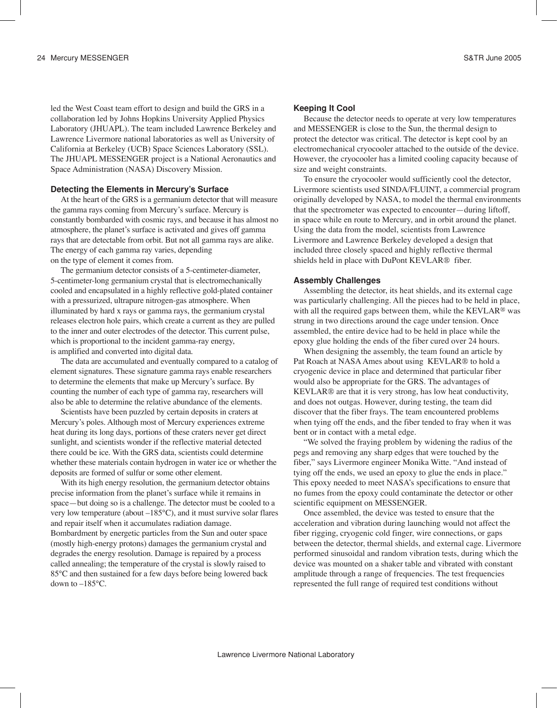led the West Coast team effort to design and build the GRS in a collaboration led by Johns Hopkins University Applied Physics Laboratory (JHUAPL). The team included Lawrence Berkeley and Lawrence Livermore national laboratories as well as University of California at Berkeley (UCB) Space Sciences Laboratory (SSL). The JHUAPL MESSENGER project is a National Aeronautics and Space Administration (NASA) Discovery Mission.

#### **Detecting the Elements in Mercury's Surface**

At the heart of the GRS is a germanium detector that will measure the gamma rays coming from Mercury's surface. Mercury is constantly bombarded with cosmic rays, and because it has almost no atmosphere, the planet's surface is activated and gives off gamma rays that are detectable from orbit. But not all gamma rays are alike. The energy of each gamma ray varies, depending on the type of element it comes from.

The germanium detector consists of a 5-centimeter-diameter, 5-centimeter-long germanium crystal that is electromechanically cooled and encapsulated in a highly reflective gold-plated container with a pressurized, ultrapure nitrogen-gas atmosphere. When illuminated by hard x rays or gamma rays, the germanium crystal releases electron hole pairs, which create a current as they are pulled to the inner and outer electrodes of the detector. This current pulse, which is proportional to the incident gamma-ray energy, is amplified and converted into digital data.

The data are accumulated and eventually compared to a catalog of element signatures. These signature gamma rays enable researchers to determine the elements that make up Mercury's surface. By counting the number of each type of gamma ray, researchers will also be able to determine the relative abundance of the elements.

Scientists have been puzzled by certain deposits in craters at Mercury's poles. Although most of Mercury experiences extreme heat during its long days, portions of these craters never get direct sunlight, and scientists wonder if the reflective material detected there could be ice. With the GRS data, scientists could determine whether these materials contain hydrogen in water ice or whether the deposits are formed of sulfur or some other element.

With its high energy resolution, the germanium detector obtains precise information from the planet's surface while it remains in space—but doing so is a challenge. The detector must be cooled to a very low temperature (about –185°C), and it must survive solar flares and repair itself when it accumulates radiation damage. Bombardment by energetic particles from the Sun and outer space (mostly high-energy protons) damages the germanium crystal and degrades the energy resolution. Damage is repaired by a process called annealing; the temperature of the crystal is slowly raised to 85°C and then sustained for a few days before being lowered back down to –185°C.

## **Keeping It Cool**

Because the detector needs to operate at very low temperatures and MESSENGER is close to the Sun, the thermal design to protect the detector was critical. The detector is kept cool by an electromechanical cryocooler attached to the outside of the device. However, the cryocooler has a limited cooling capacity because of size and weight constraints.

To ensure the cryocooler would sufficiently cool the detector, Livermore scientists used SINDA/FLUINT, a commercial program originally developed by NASA, to model the thermal environments that the spectrometer was expected to encounter—during liftoff, in space while en route to Mercury, and in orbit around the planet. Using the data from the model, scientists from Lawrence Livermore and Lawrence Berkeley developed a design that included three closely spaced and highly reflective thermal shields held in place with DuPont KEVLAR® fiber.

## **Assembly Challenges**

Assembling the detector, its heat shields, and its external cage was particularly challenging. All the pieces had to be held in place, with all the required gaps between them, while the KEVLAR<sup>®</sup> was strung in two directions around the cage under tension. Once assembled, the entire device had to be held in place while the epoxy glue holding the ends of the fiber cured over 24 hours.

When designing the assembly, the team found an article by Pat Roach at NASA Ames about using KEVLAR® to hold a cryogenic device in place and determined that particular fiber would also be appropriate for the GRS. The advantages of KEVLAR® are that it is very strong, has low heat conductivity, and does not outgas. However, during testing, the team did discover that the fiber frays. The team encountered problems when tying off the ends, and the fiber tended to fray when it was bent or in contact with a metal edge.

"We solved the fraying problem by widening the radius of the pegs and removing any sharp edges that were touched by the fiber," says Livermore engineer Monika Witte. "And instead of tying off the ends, we used an epoxy to glue the ends in place." This epoxy needed to meet NASA's specifications to ensure that no fumes from the epoxy could contaminate the detector or other scientific equipment on MESSENGER.

Once assembled, the device was tested to ensure that the acceleration and vibration during launching would not affect the fiber rigging, cryogenic cold finger, wire connections, or gaps between the detector, thermal shields, and external cage. Livermore performed sinusoidal and random vibration tests, during which the device was mounted on a shaker table and vibrated with constant amplitude through a range of frequencies. The test frequencies represented the full range of required test conditions without